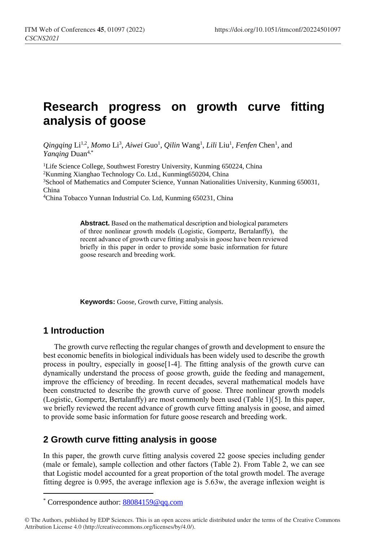## **Research progress on growth curve fitting analysis of goose**

Qingqing Li<sup>1,2</sup>, Momo Li<sup>3</sup>, Aiwei Guo<sup>1</sup>, Qilin Wang<sup>1</sup>, Lili Liu<sup>1</sup>, Fenfen Chen<sup>1</sup>, and *Yanqing* Duan4,\*

<sup>1</sup>Life Science College, Southwest Forestry University, Kunming 650224, China <sup>2</sup>Kunming Xianghao Technology Co. Ltd., Kunming650204, China <sup>3</sup>School of Mathematics and Computer Science[, Yunnan Nationalities University,](http://202.203.144.4/szonline/readnews.asp?id=424) Kunming 650031, China

<sup>4</sup>China Tobacco Yunnan Industrial Co. Ltd, Kunming 650231, China

**Abstract.** Based on the mathematical description and biological parameters of three nonlinear growth models (Logistic, Gompertz, Bertalanffy), the recent advance of growth curve fitting analysis in goose have been reviewed briefly in this paper in order to provide some basic information for future goose research and breeding work.

**Keywords:** Goose, Growth curve, Fitting analysis.

## **1 Introduction**

 $\overline{a}$ 

The growth curve reflecting the regular changes of growth and development to ensure the best economic benefits in biological individuals has been widely used to describe the growth process in poultry, especially in goose<sup>[1-4]</sup>. The fitting analysis of the growth curve can dynamically understand the process of goose growth, guide the feeding and management, improve the efficiency of breeding. In recent decades, several mathematical models have been constructed to describe the growth curve of goose. Three nonlinear growth models (Logistic, Gompertz, Bertalanffy) are most commonly been used (Table 1)[5]. In this paper, we briefly reviewed the recent advance of growth curve fitting analysis in goose, and aimed to provide some basic information for future goose research and breeding work.

## **2 Growth curve fitting analysis in goose**

In this paper, the growth curve fitting analysis covered 22 goose species including gender (male or female), sample collection and other factors (Table 2). From Table 2, we can see that Logistic model accounted for a great proportion of the total growth model. The average fitting degree is 0.995, the average inflexion age is 5.63w, the average inflexion weight is

<sup>\*</sup> Correspondence author[: 88084159@qq.com](mailto:88084159@qq.com)

<sup>©</sup> The Authors, published by EDP Sciences. This is an open access article distributed under the terms of the Creative Commons Attribution License 4.0 (http://creativecommons.org/licenses/by/4.0/).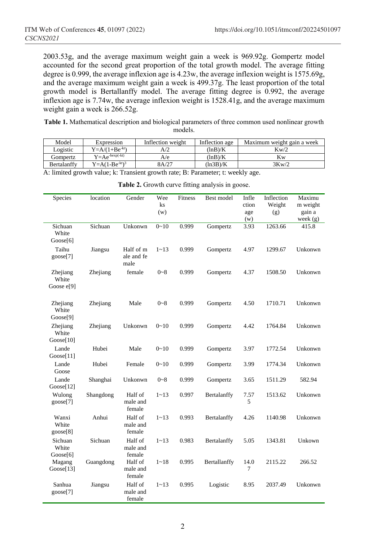2003.53g, and the average maximum weight gain a week is 969.92g. Gompertz model accounted for the second great proportion of the total growth model. The average fitting degree is 0.999, the average inflexion age is 4.23w, the average inflexion weight is 1575.69g, and the average maximum weight gain a week is 499.37g. The least proportion of the total growth model is Bertallanffy model. The average fitting degree is 0.992, the average inflexion age is 7.74w, the average inflexion weight is 1528.41g, and the average maximum weight gain a week is 266.52g.

**Table 1.** Mathematical description and biological parameters of three common used nonlinear growth models.

| Model       | Expression              | Inflection weight | Inflection age | Maximum weight gain a week |
|-------------|-------------------------|-------------------|----------------|----------------------------|
| Logistic    | $Y=A/(1+Be^{-kt})$      |                   | (lnB)/K        | Kw/2                       |
| Gompertz    | $Y = Ae^{-bexp(-kt)}$   | A/e               | (lnB)/K        | Κw                         |
| Bertalanffy | $Y = A(1 - Be^{-kt})^3$ | 8A/27             | (ln3B)/K       | 3Kw/2                      |

A: limited growth value; k: Transient growth rate; B: Parameter; t: weekly age.

| Species                                   | location  | Gender                          | Wee      | Fitness | Best model   | Infle       | Inflection | Maximu              |
|-------------------------------------------|-----------|---------------------------------|----------|---------|--------------|-------------|------------|---------------------|
|                                           |           |                                 | ks       |         |              | ction       | Weight     | m weight            |
|                                           |           |                                 | (w)      |         |              | age         | (g)        | gain a              |
| Sichuan                                   | Sichuan   | Unkonwn                         | $0 - 10$ | 0.999   | Gompertz     | (w)<br>3.93 | 1263.66    | week $(g)$<br>415.8 |
| White                                     |           |                                 |          |         |              |             |            |                     |
| Google[6]                                 |           |                                 |          |         |              |             |            |                     |
| Taihu<br>goose[7]                         | Jiangsu   | Half of m<br>ale and fe<br>male | $1 - 13$ | 0.999   | Gompertz     | 4.97        | 1299.67    | Unkonwn             |
| Zhejiang<br>White<br>Goose e[9]           | Zhejiang  | female                          | $0 - 8$  | 0.999   | Gompertz     | 4.37        | 1508.50    | Unkonwn             |
| Zhejiang<br>White<br>Goose <sup>[9]</sup> | Zhejiang  | Male                            | $0 - 8$  | 0.999   | Gompertz     | 4.50        | 1710.71    | Unkonwn             |
| Zhejiang<br>White                         | Zhejiang  | Unkonwn                         | $0 - 10$ | 0.999   | Gompertz     | 4.42        | 1764.84    | Unkonwn             |
| Goose[10]                                 |           |                                 |          |         |              |             |            |                     |
| Lande<br>Google[11]                       | Hubei     | Male                            | $0 - 10$ | 0.999   | Gompertz     | 3.97        | 1772.54    | Unkonwn             |
| Lande<br>Goose                            | Hubei     | Female                          | $0 - 10$ | 0.999   | Gompertz     | 3.99        | 1774.34    | Unkonwn             |
| Lande<br>Goose[12]                        | Shanghai  | Unkonwn                         | $0 - 8$  | 0.999   | Gompertz     | 3.65        | 1511.29    | 582.94              |
| Wulong<br>goose[7]                        | Shangdong | Half of<br>male and<br>female   | $1 - 13$ | 0.997   | Bertalanffy  | 7.57<br>5   | 1513.62    | Unkonwn             |
| Wanxi<br>White<br>goose[8]                | Anhui     | Half of<br>male and<br>female   | $1 - 13$ | 0.993   | Bertalanffy  | 4.26        | 1140.98    | Unkonwn             |
| Sichuan<br>White                          | Sichuan   | Half of<br>male and<br>female   | $1 - 13$ | 0.983   | Bertalanffy  | 5.05        | 1343.81    | Unkown              |
| Goose[6]<br>Magang<br>Google[13]          | Guangdong | Half of<br>male and<br>female   | $1 - 18$ | 0.995   | Bertallanffy | 14.0<br>7   | 2115.22    | 266.52              |
| Sanhua<br>goose[7]                        | Jiangsu   | Half of<br>male and<br>female   | $1 - 13$ | 0.995   | Logistic     | 8.95        | 2037.49    | Unkonwn             |

**Table 2.** Growth curve fitting analysis in goose.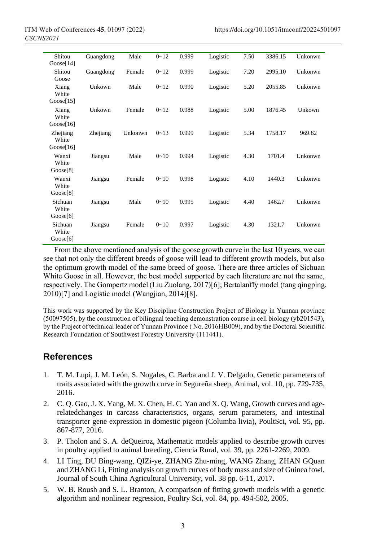| Shitou<br>Goose[14]            | Guangdong | Male    | $0 - 12$ | 0.999 | Logistic | 7.50 | 3386.15 | Unkonwn |
|--------------------------------|-----------|---------|----------|-------|----------|------|---------|---------|
| Shitou<br>Goose                | Guangdong | Female  | $0 - 12$ | 0.999 | Logistic | 7.20 | 2995.10 | Unkonwn |
| Xiang<br>White<br>Google[15]   | Unkown    | Male    | $0 - 12$ | 0.990 | Logistic | 5.20 | 2055.85 | Unkonwn |
| Xiang<br>White<br>Goose[16]    | Unkown    | Female  | $0 - 12$ | 0.988 | Logistic | 5.00 | 1876.45 | Unkown  |
| Zhejiang<br>White<br>Goose[16] | Zhejiang  | Unkonwn | $0 - 13$ | 0.999 | Logistic | 5.34 | 1758.17 | 969.82  |
| Wanxi<br>White<br>Google[8]    | Jiangsu   | Male    | $0 - 10$ | 0.994 | Logistic | 4.30 | 1701.4  | Unkonwn |
| Wanxi<br>White<br>Google[8]    | Jiangsu   | Female  | $0 - 10$ | 0.998 | Logistic | 4.10 | 1440.3  | Unkonwn |
| Sichuan<br>White<br>Google[6]  | Jiangsu   | Male    | $0 - 10$ | 0.995 | Logistic | 4.40 | 1462.7  | Unkonwn |
| Sichuan<br>White<br>Google[6]  | Jiangsu   | Female  | $0 - 10$ | 0.997 | Logistic | 4.30 | 1321.7  | Unkonwn |

From the above mentioned analysis of the goose growth curve in the last 10 years, we can see that not only the different breeds of goose will lead to different growth models, but also the optimum growth model of the same breed of goose. There are three articles of Sichuan White Goose in all. However, the best model supported by each literature are not the same, respectively. The Gompertz model (Liu Zuolang, 2017)[6]; Bertalanffy model (tang qingping, 2010)[7] and Logistic model (Wangjian, 2014)[8].

This work was supported by the Key Discipline Construction Project of Biology in Yunnan province (50097505), by the construction of bilingual teaching demonstration course in cell biology (yb201543), by the Project of technical leader of Yunnan Province ( No. 2016HB009), and by the Doctoral Scientific Research Foundation of Southwest Forestry University (111441).

## **References**

- 1. T. M. Lupi, J. M. León, S. Nogales, C. Barba and J. V. Delgado, Genetic parameters of traits associated with the growth curve in Segureña sheep, Animal, vol. 10, pp. 729-735, 2016.
- 2. C. Q. Gao, J. X. Yang, M. X. Chen, H. C. Yan and X. Q. Wang, Growth curves and agerelatedchanges in carcass characteristics, organs, serum parameters, and intestinal transporter gene expression in domestic pigeon (Columba livia), PoultSci, vol. 95, pp. 867-877, 2016.
- 3. P. Tholon and S. A. deQueiroz, Mathematic models applied to describe growth curves in poultry applied to animal breeding, Ciencia Rural, vol. 39, pp. 2261-2269, 2009.
- 4. LI Ting, DU Bing-wang, QIZi-ye, ZHANG Zhu-ming, WANG Zhang, ZHAN GQuan and ZHANG Li, Fitting analysis on growth curves of body mass and size of Guinea fowl, Journal of South China Agricultural University, vol. 38 pp. 6-11, 2017.
- 5. W. B. Roush and S. L. Branton, A comparison of fitting growth models with a genetic algorithm and nonlinear regression, Poultry Sci, vol. 84, pp. 494-502, 2005.